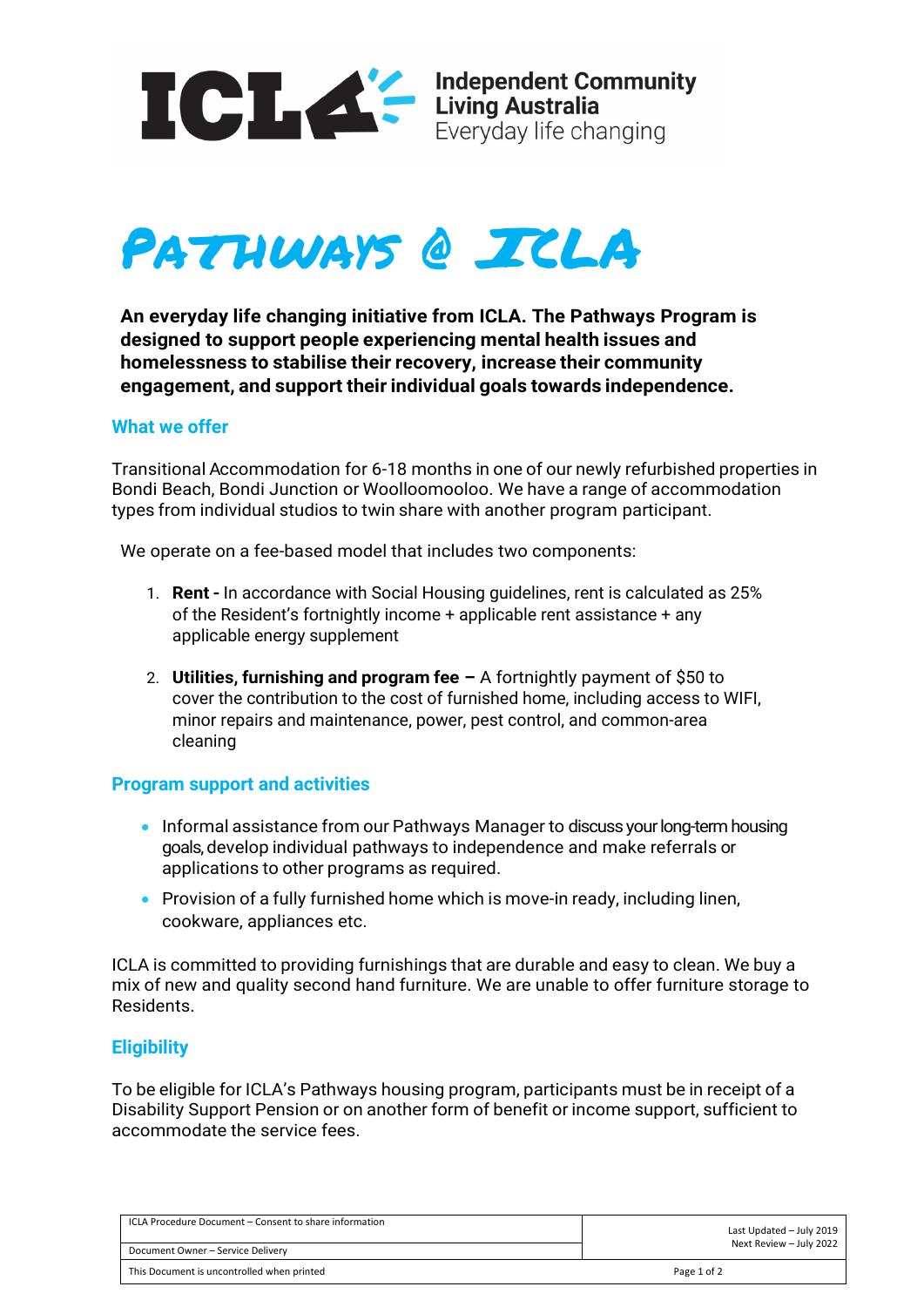



**An everyday life changing initiative from ICLA. The Pathways Program is designed to support people experiencing mental health issues and homelessness to stabilise their recovery, increase their community engagement, and support their individual goals towards independence.**

### **What we offer**

Transitional Accommodation for 6-18 months in one of our newly refurbished properties in Bondi Beach, Bondi Junction or Woolloomooloo. We have a range of accommodation types from individual studios to twin share with another program participant.

We operate on a fee-based model that includes two components:

- 1. **Rent -** In accordance with Social Housing guidelines, rent is calculated as 25% of the Resident's fortnightly income + applicable rent assistance + any applicable energy supplement
- 2. **Utilities, furnishing and program fee –** A fortnightly payment of \$50 to cover the contribution to the cost of furnished home, including access to WIFI, minor repairs and maintenance, power, pest control, and common-area cleaning

## **Program support and activities**

- Informal assistance from our Pathways Manager to discuss your long-term housing goals, develop individual pathways to independence and make referrals or applications to other programs as required.
- Provision of a fully furnished home which is move-in ready, including linen, cookware, appliances etc.

ICLA is committed to providing furnishings that are durable and easy to clean. We buy a mix of new and quality second hand furniture. We are unable to offer furniture storage to Residents.

## **Eligibility**

To be eligible for ICLA's Pathways housing program, participants must be in receipt of a Disability Support Pension or on another form of benefit or income support, sufficient to accommodate the service fees.

| ICLA Procedure Document – Consent to share information | Last Updated - July 2019 |
|--------------------------------------------------------|--------------------------|
| Document Owner - Service Delivery                      | Next Review - July 2022  |
| This Document is uncontrolled when printed             | Page 1 of 2              |